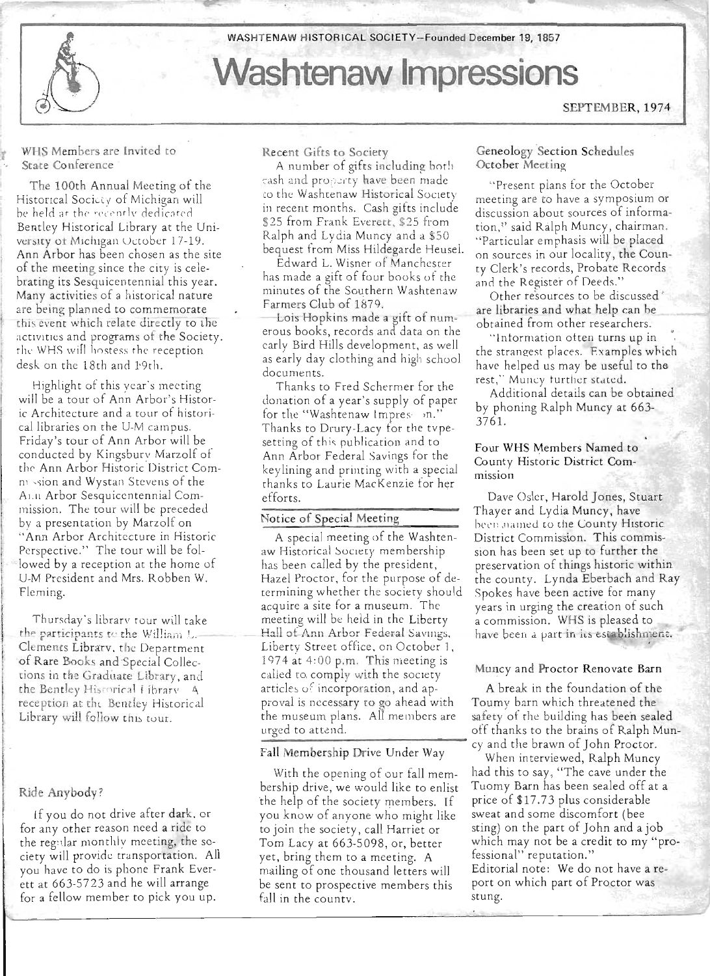

WHS Members are Invited to State Conference

The 100th Annual Meeting of the Historical Society of Michigan will be held at the recently dedicated Bentley Historical Library at the University of Michigan October 17-19. Ann Arbor has been chosen as the site of the meeting since the city is celebrating its Sesquicentennial this year. Many activities of a historical nature are being planned to commemorate this event which relate directly to the activities and programs of the Society. the WHS will hostess the reception desk on the 18th and 19th.

I Highlight of this year's meeting will be a tour of Ann Arbor's Historic Architecture and a tour of historical libraries on the U-M campus. Friday's tour of Ann Arbor will be conducted by Kingsbury Marzolf of the Ann Arbor Historic District Comm sion and Wystan Stevens of the AI.Il Arbor Sesquicentennial Commission. The tour will be preceded by a presentation by Marzolf on "Ann Arbor Architecture in Historic Perspective." The tour will be followed by a reception at the home of U-M President and Mrs. Robben W. Fleming.

Thursday's library tour will take<br>the participants to the William L.<br>Clements Librarv, the Department of Rare Books and Special Collections in the Graduate Library, and the Bentley Historical Library A. reception at the Bentley Historical Library will follow this tour.

## I Ride Anybody?

I

I

. If you do not drive after dark. or for any other reason need a ride to the reg:dar monthly meeting, the society will provide tra nsportation. All you have to do is phone Frank Everett at 663-5723 and he will arrange for a fellow member to pick you up.

Recent Gifts to Society

A number of gifts including both cash and property have been made to the Washtenaw Historical Society in recent months. Cash gifts include \$25 from Frank Everett, \$25 from Ralph and Lydia Muncy and a \$50 bequest from Miss Hildegarde Heuse!.

Edward L. Wisner of Manchester " has made a gift of four books of the minutes of the Southern Washtenaw Farmers Club of 1879. .

Lois Hopkins made a gift of numerous books, records and data on the early Bird Hills development, as well as early day clothing and high school documents.

Thanks to Fred Schermer for the donation of a year's supply of paper for the "Washtenaw Impres- on." Thanks to Drury-Lacy for the tvpesetting of this publication and to Ann Arbor Federal Savings for the key lining and printing with a special thanks to Laurie MacKenzie for her efforts.

## Notice of Special Meeting

A special meeting of the Washtenaw Historical Society membership has been called by the president, Hazel Proctor, for the purpose of determining whether the society shou ld acquire a site for a museum. The meeting will be held in the Liberty Hall of Ann Arbor Federal Savings, Liberty Street office, on October 1,  $1974$  at  $4:00$  p.m. This meeting is I Muncy and Proctor Renovate Barn called to, comp y with the society articles of incorporation, and ap- A break in the foundation of the proval is necessary to go ahead with Toumy barn which threatened the

the help of the society members. If price of \$17.73 plus considerable you know of anyone who might like sweat and some discomfort (bee to join the society, call Harriet or sting) on the part of John and a job yet, bring them to a meeting. A fessional" reputation." be sent to prospective members this port on which part of Proctor was fall in the county. stung.

- ------------------------------------------------------------------~----------------------------------~

### Geneology Section Schedules October Meeting

•

"Present plans for the October meeting are to have a symposium or discussion about sources of information," said Ralph Muncy, chairman . "Particular emphasis will be placed on sources in our locality, the County Clerk's records, Probate Records and the Register of Deeds."

Other resources to be discussed' are libraries and what help can be obtained from other researchers.

"Information often turns up in the strangest places. Examples which have helped us may be useful to the rest," Muncy further stated.

Additional details can be obtained by phoning Ralph Muncy at 663- 3761.

#### Four WHS Members Named to County Historic District Commission

Dave Osler, Harold Jones, Stuart Thayer and Lydia Muncy, have been named to the County Historic District Commission. This commission has been set up to further the preservation of things historic within the county. Lynda Eberbach and Ray Spokes have been active for many years in urging the creation of such a commission. WHS is pleased to have been a part in its establishment.

the museum plans. All members are safety of the building has been sealed urged to attend. off thanks to the brains of Ralph Mun cy and the brawn of John Proctor.

Fall Membership Drive Under Way When interviewed, Ralph Muncy With the opening of our fall mem- had this to say, "The cave under the bership drive, we would like to enlist Tuomy Barn has been sealed off at a Tom Lacy at 663-5098, or, better which may not be a credit to my "promailing of one thousand letters will Editorial note: We do not have a re-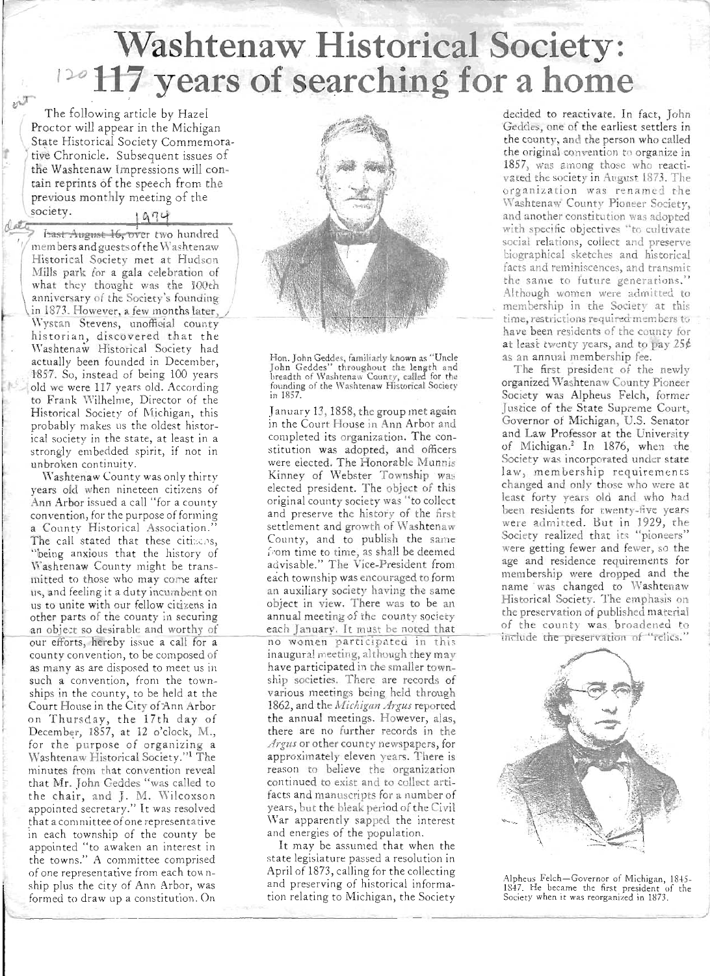# **Washtenaw Historical Society: 120 117 years of searching for a home**

The following article by Hazel Proctor will appear in the Michigan State Historical Society Commemora-. tive Chronicle. Subsequent issues of the Washtenaw Impressions will contain reprints of the speech from the<br>
previous monthly meeting of the<br>
society.<br> **1974**<br> **Exact August 16, over two hundred**<br> **1974**<br> **1974**<br> **1974**<br> **1974**<br> **1974**<br> **1974** previous monthly meeting of the

members andguestsofthe Washtenaw Historical Society met at Hudson Mills park for a gala celebration of what they thought was the lOOth anniversary of the Society's founding in 1873. However, a few months later, Wystan Stevens, unofficial county historian, discovered that the Washtenaw Historical Society had actually been founded in December, 1857. So, instead of being 100 years old we were 117 years old. According to Frank Wilhelme, Director of the Historical Society of Michigan, this probably makes us the oldest historical society in the state, at least in a strongly embedded spirit, if not in unbroken continuity.

(

 $e^{i\mathcal{T}}$ 

 $\sqrt{2}$ 

\Yashtenaw County was only thirty years old when nineteen citizens of Ann Arbor issued a call "for a county convention, for the purpose of forming a County Historical Association." The call stated that these citizens, "being anxious that the history of Washtenaw County might be transmitted to those who may come after us, and feeling it a duty incumbent on us to unite with our fellow citizens in other parts of the county in securing an object so desirable and worthy of our efforts, hereby issue a call for a county convention, to be composed of as many as are disposed to meet us in such a convention, from the townships in the county, to be held at the Court House in the City of Ann Arbor on Thursday, the 17th day of December, 1857, at 12 o'clock, M., for the purpose of organizing a Washtenaw Historical Society."<sup>1</sup> The minutes from that convention reveal that Mr. John Geddes "was called to the chair, and J. M. Wilcoxson appointed secretary." It was resolved that a committee of one representative in each township of the county be appointed "to awaken an interest in the towns." A committee comprised of one representative from each township plus the city of Ann Arbor, was formed to draw up a constitution. On



Hon. John Geddes, familiarly known as "Uncle John Geddes" throughout the length and breadth of Washtenaw County, called for the founding of the \\'ashtenaw Historical Society in 1857.

January 13, 1858, the group met again in the Court House in Ann Arbor and completed its organization. The constitution was adopted, and officers were elected. The Honorable Munnis Kinney of Webster Township was elected president. The object of this original county society was "to collect and preserve the history of the first settlement and growth of Washtenaw County, and to publish the same from time to time, as shall be deemed advisable." The Vice-President from each township was encouraged to form an auxiliary society having the same object in view. There was to be an annual meeting of the county society each January. It must be noted that no women participated in this inaugural meeting, although they may have participated in the smaller township societies. There are records of various meetings being held through 1862, and the *Michigan Argus* reported the annual meetings. However, alas, there are no further records in the *Argus* or other county newspapers, for approximately eleven years. There is reason to believe the organization continued to exist and to collect artifacts and manuscripts for a number of years, but the bleak period of the Civil War apparently sapped the interest and energies of the population.

It may be assumed that when the state legislature passed a resolution in April of 1873, calling for the collecting and preserving of historical information relating to Michigan, the Society

--------------------------------------------------------------------------------------~/

decided to reactivate. In fact, John Geddes, one of the earliest settlers in the county, and the person who called the original convention to organize in 1857, was among those who reactivated the society in August 1873. The organization was renamed the Washtenaw County Pioneer Society, and another constitution was adopted with specific objectives "to cultivate social relations, collect and preserve biographical sketches and historical facts and reminiscences, and transmit the same to future generations." Although women were admitted to membership in the Society at this time, restrictions required members to have been residents of the county for at least twenty years, and to pay 25¢ as an annual membership fee.

The first president of the newly organized \Vashtenaw County Pioneer Society was Alpheus Felch, former Justice of the State Supreme Court, Governor of Michigan, U.S. Senator and Law Professor at the University of Michigan.<sup>2</sup> In 1876, when the Society was incorporated under state law, membership requirements changed and only those who were at least forty years old and who had been residents for twenty-five years were admitted. But in 1929, the Society realized that its "pioneers" were getting fewer and fewer, so the age and residence requirements for membership were dropped and the name was changed to Washtenaw Historical Society. The emphasis on the preservation of published material of the county was broadened to include the preservation of "relics."



Alpheus Felch-Governor of Michigan, 1845-1847. He became the first president of the Society when it was reorganized in 1873.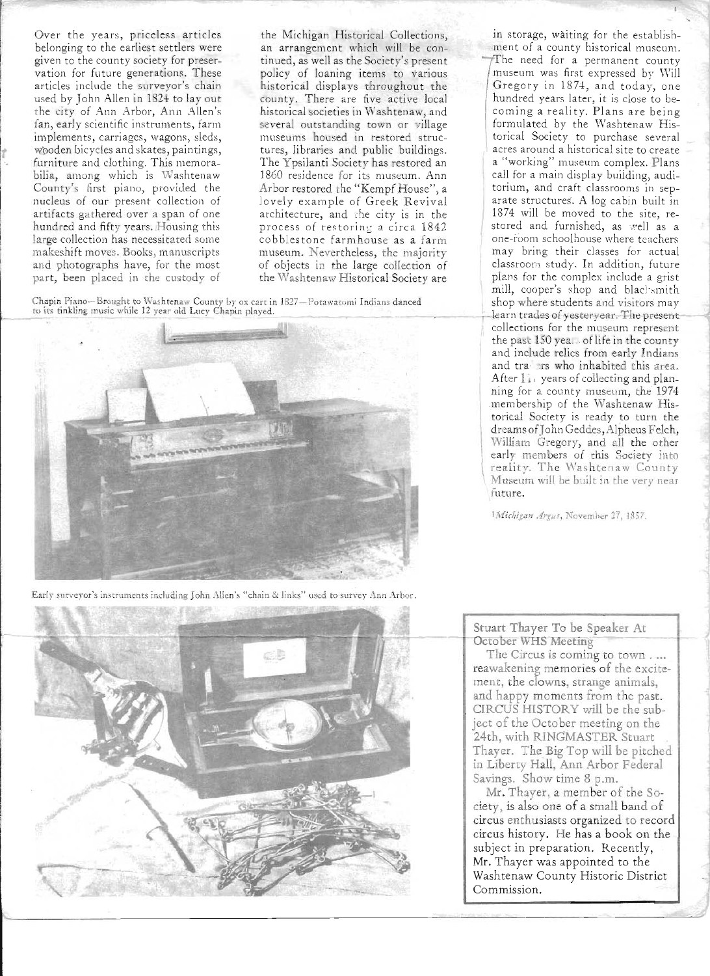Over the years, priceless articles belonging to the earliest settlers were given to the county society for preservation for future generations. These articles include the surveyor's chain used by John Allen in 1824 to lay out the city of Ann Arbor, Ann Allen's fan, early scientific instruments, farm implements, carriages, wagons, sleds, wooden bicycles and skates, paintings, furniture and clothing. This memorabilia, among which is Washtenaw County's first piano, provided the nucleus of our present collection of artifacts gathered over a span of one hundred and fifty years. Housing this large collection has necessitated some makeshift moves. Books, manuscripts and photographs have, for the most part, been placed in the custody of

the Michigan Historical Collections, an arrangement which will be continued, as well as the Society's present policy of loaning items to various historical displays throughout the county. There are five active local historical societies in Washtenaw, and several outstanding town or village museums housed in restored structures, libraries and public buildings. The Ypsilanti Society has restored an 1860 residence for its museum. Ann Arbor restored the "Kempf House", a lovely example of Greek Revival architecture, and the *city* is in the process of restoring a circa 1842 cobblestone farmhouse as a farm museum. Nevertheless, the majority of objects in the large collection of the Washtenaw Historical Society are

----------------------------------------------------~------------------------------------------------------------/

Chapin Piano-Brought to Washtenaw County by ox cart in 1827-Potawatomi Indians danced<br>to its tinkling music while 12 year old Lucy Chapin played.



Early surveyor's instruments incluaing John Allen's "chain & links" used to survey Ann Arbor.

cB

in storage, waiting for the establishment of a county historical museum. The need for a permanent county museum was first expressed by Will Gregory in 1874, and today, one hundred years later, it is close to becoming a reality. Plans are being formulated by the Washtenaw Historical Society to purchase several acres around a historical site to create a " working" museum complex. Plans call for a main display building, auditorium, and craft classrooms in separate structures. A log cabin built in 1874 will be moved to the site, restored and furnished, as well as a one-room schoolhouse where teachers may bring their classes for actual classroom study. In addition, future plans for the complex include a grist mill, cooper's shop and blacksmith shop where students and visitors may learn trades of yesteryear. The presentcollections for the museum represent the past  $150$  yea. of life in the county and include relics from early Indians and trayers who inhabited this area. After  $1i$ , years of collecting and planning for a county museum, the 1974 membership of the Washtenaw Historical Society is ready to turn the dreams of} ohn Geddes, Alpheus Felch, William Gregory, and all the other early members of this Society into reality. The Washtenaw County \ Museum will be built in the very near future.

1Michigan Argus, November 27, 1857.

 $\mathcal{L}$ 

Stuart Thayer To be Speaker At October WHS Meeting

The Circus is coming to town .... reawakening memories of the excitement, the clowns, strange animals, and happy moments from the past. CIRCUS HISTORY will be the subject of the October meeting on the 24th, with RINGMASTER Stuart Thayer. The Big Top will be pitched in Liberty Hall, Ann Arbor Federal Savings. Show time 8 p.m.

Mr. Thayer, a member of the Society, is also one of a small band of circus enthusiasts organized to record circus history. He has a book on the subject in preparation. Recently, Mr. Thayer was appointed to the Washtenaw County Historic District Commission.